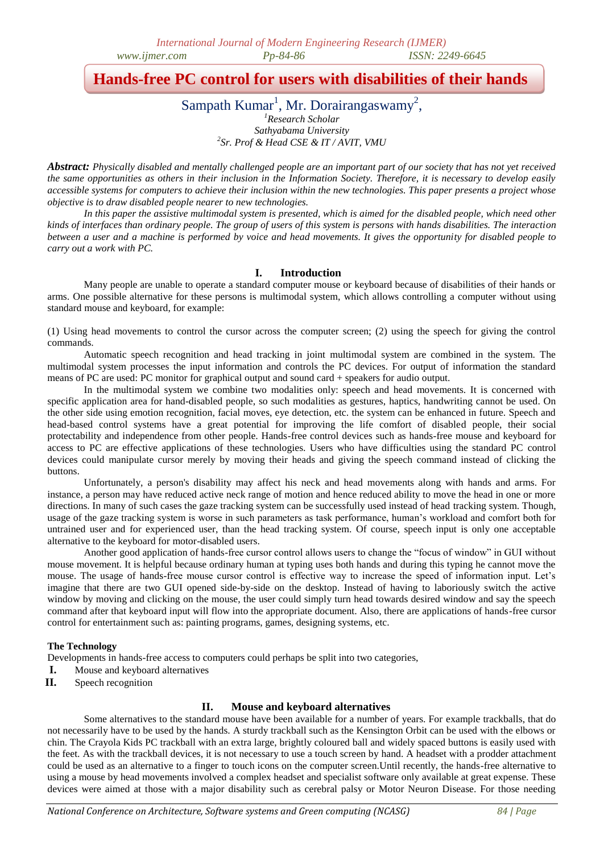# **Hands-free PC control for users with disabilities of their hands**

Sampath Kumar<sup>1</sup>, Mr. Dorairangaswamy<sup>2</sup>,

*<sup>1</sup>Research Scholar Sathyabama University 2 Sr. Prof & Head CSE & IT / AVIT, VMU*

*Abstract: Physically disabled and mentally challenged people are an important part of our society that has not yet received the same opportunities as others in their inclusion in the Information Society. Therefore, it is necessary to develop easily accessible systems for computers to achieve their inclusion within the new technologies. This paper presents a project whose objective is to draw disabled people nearer to new technologies.*

In this paper the assistive multimodal system is presented, which is aimed for the disabled people, which need other *kinds of interfaces than ordinary people. The group of users of this system is persons with hands disabilities. The interaction between a user and a machine is performed by voice and head movements. It gives the opportunity for disabled people to carry out a work with PC.*

### **I. Introduction**

Many people are unable to operate a standard computer mouse or keyboard because of disabilities of their hands or arms. One possible alternative for these persons is multimodal system, which allows controlling a computer without using standard mouse and keyboard, for example:

(1) Using head movements to control the cursor across the computer screen; (2) using the speech for giving the control commands.

Automatic speech recognition and head tracking in joint multimodal system are combined in the system. The multimodal system processes the input information and controls the PC devices. For output of information the standard means of PC are used: PC monitor for graphical output and sound card + speakers for audio output.

In the multimodal system we combine two modalities only: speech and head movements. It is concerned with specific application area for hand-disabled people, so such modalities as gestures, haptics, handwriting cannot be used. On the other side using emotion recognition, facial moves, eye detection, etc. the system can be enhanced in future. Speech and head-based control systems have a great potential for improving the life comfort of disabled people, their social protectability and independence from other people. Hands-free control devices such as hands-free mouse and keyboard for access to PC are effective applications of these technologies. Users who have difficulties using the standard PC control devices could manipulate cursor merely by moving their heads and giving the speech command instead of clicking the buttons.

Unfortunately, a person's disability may affect his neck and head movements along with hands and arms. For instance, a person may have reduced active neck range of motion and hence reduced ability to move the head in one or more directions. In many of such cases the gaze tracking system can be successfully used instead of head tracking system. Though, usage of the gaze tracking system is worse in such parameters as task performance, human"s workload and comfort both for untrained user and for experienced user, than the head tracking system. Of course, speech input is only one acceptable alternative to the keyboard for motor-disabled users.

Another good application of hands-free cursor control allows users to change the "focus of window" in GUI without mouse movement. It is helpful because ordinary human at typing uses both hands and during this typing he cannot move the mouse. The usage of hands-free mouse cursor control is effective way to increase the speed of information input. Let's imagine that there are two GUI opened side-by-side on the desktop. Instead of having to laboriously switch the active window by moving and clicking on the mouse, the user could simply turn head towards desired window and say the speech command after that keyboard input will flow into the appropriate document. Also, there are applications of hands-free cursor control for entertainment such as: painting programs, games, designing systems, etc.

### **The Technology**

Developments in hands-free access to computers could perhaps be split into two categories,

- **I.** Mouse and keyboard alternatives
- **II.** Speech recognition

## **II. Mouse and keyboard alternatives**

Some alternatives to the standard mouse have been available for a number of years. For example trackballs, that do not necessarily have to be used by the hands. A sturdy trackball such as the Kensington Orbit can be used with the elbows or chin. The Crayola Kids PC trackball with an extra large, brightly coloured ball and widely spaced buttons is easily used with the feet. As with the trackball devices, it is not necessary to use a touch screen by hand. A headset with a prodder attachment could be used as an alternative to a finger to touch icons on the computer screen.Until recently, the hands-free alternative to using a mouse by head movements involved a complex headset and specialist software only available at great expense. These devices were aimed at those with a major disability such as cerebral palsy or Motor Neuron Disease. For those needing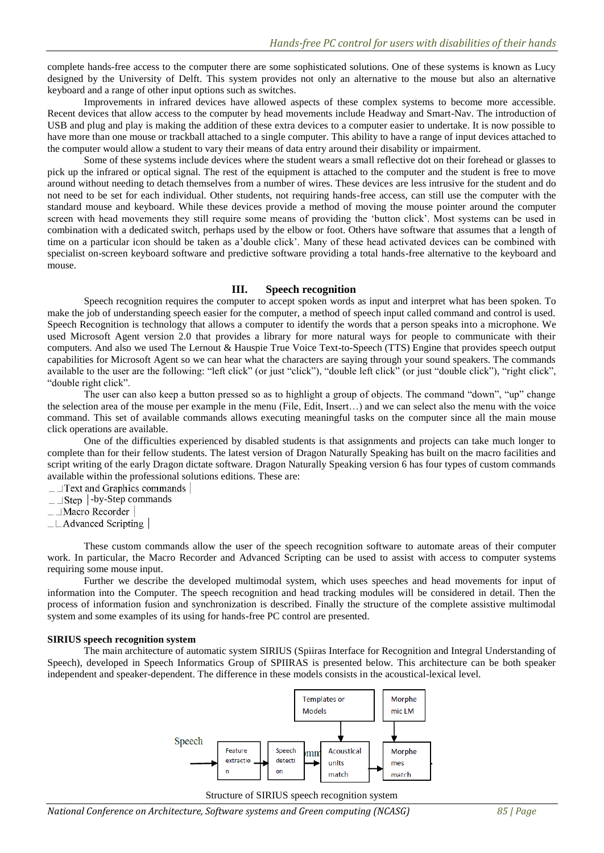complete hands-free access to the computer there are some sophisticated solutions. One of these systems is known as Lucy designed by the University of Delft. This system provides not only an alternative to the mouse but also an alternative keyboard and a range of other input options such as switches.

Improvements in infrared devices have allowed aspects of these complex systems to become more accessible. Recent devices that allow access to the computer by head movements include Headway and Smart-Nav. The introduction of USB and plug and play is making the addition of these extra devices to a computer easier to undertake. It is now possible to have more than one mouse or trackball attached to a single computer. This ability to have a range of input devices attached to the computer would allow a student to vary their means of data entry around their disability or impairment.

Some of these systems include devices where the student wears a small reflective dot on their forehead or glasses to pick up the infrared or optical signal. The rest of the equipment is attached to the computer and the student is free to move around without needing to detach themselves from a number of wires. These devices are less intrusive for the student and do not need to be set for each individual. Other students, not requiring hands-free access, can still use the computer with the standard mouse and keyboard. While these devices provide a method of moving the mouse pointer around the computer screen with head movements they still require some means of providing the 'button click'. Most systems can be used in combination with a dedicated switch, perhaps used by the elbow or foot. Others have software that assumes that a length of time on a particular icon should be taken as a"double click". Many of these head activated devices can be combined with specialist on-screen keyboard software and predictive software providing a total hands-free alternative to the keyboard and mouse.

#### **III. Speech recognition**

Speech recognition requires the computer to accept spoken words as input and interpret what has been spoken. To make the job of understanding speech easier for the computer, a method of speech input called command and control is used. Speech Recognition is technology that allows a computer to identify the words that a person speaks into a microphone. We used Microsoft Agent version 2.0 that provides a library for more natural ways for people to communicate with their computers. And also we used The Lernout & Hauspie True Voice Text-to-Speech (TTS) Engine that provides speech output capabilities for Microsoft Agent so we can hear what the characters are saying through your sound speakers. The commands available to the user are the following: "left click" (or just "click"), "double left click" (or just "double click"), "right click", "double right click".

The user can also keep a button pressed so as to highlight a group of objects. The command "down", "up" change the selection area of the mouse per example in the menu (File, Edit, Insert…) and we can select also the menu with the voice command. This set of available commands allows executing meaningful tasks on the computer since all the main mouse click operations are available.

One of the difficulties experienced by disabled students is that assignments and projects can take much longer to complete than for their fellow students. The latest version of Dragon Naturally Speaking has built on the macro facilities and script writing of the early Dragon dictate software. Dragon Naturally Speaking version 6 has four types of custom commands available within the professional solutions editions. These are:

- $\Box$  Text and Graphics commands
- $\Box$ Step | -by-Step commands

 $\_$  Macro Recorder

 $\perp$  Advanced Scripting

These custom commands allow the user of the speech recognition software to automate areas of their computer work. In particular, the Macro Recorder and Advanced Scripting can be used to assist with access to computer systems requiring some mouse input.

Further we describe the developed multimodal system, which uses speeches and head movements for input of information into the Computer. The speech recognition and head tracking modules will be considered in detail. Then the process of information fusion and synchronization is described. Finally the structure of the complete assistive multimodal system and some examples of its using for hands-free PC control are presented.

#### **SIRIUS speech recognition system**

The main architecture of automatic system SIRIUS (Spiiras Interface for Recognition and Integral Understanding of Speech), developed in Speech Informatics Group of SPIIRAS is presented below. This architecture can be both speaker independent and speaker-dependent. The difference in these models consists in the acoustical-lexical level.



#### Structure of SIRIUS speech recognition system